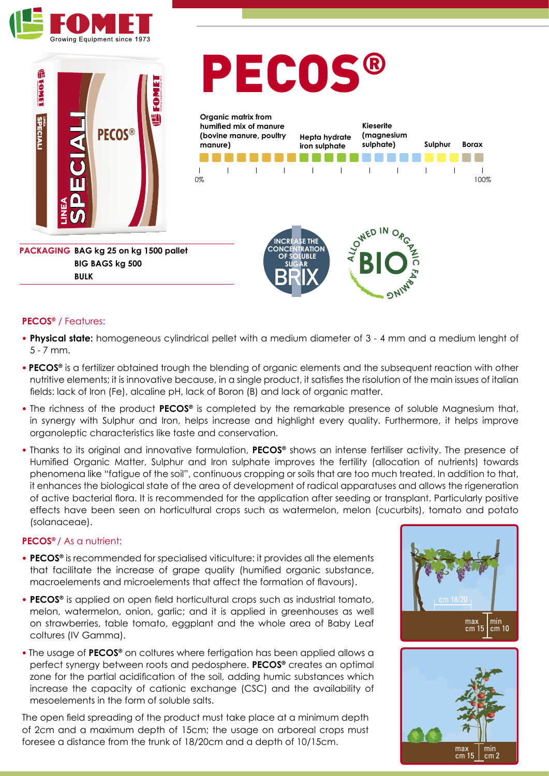



**BIG BAGS kg 500** 

**BULK**

# PECOS®



### **PECOS®** / Features:

- **• Physical state:** homogeneous cylindrical pellet with a medium diameter of 3 4 mm and a medium lenght of 5 - 7 mm.
- **PECOS®** is a fertilizer obtained trough the blending of organic elements and the subsequent reaction with other nutritive elements; it is innovative because, in a single product, it satisfies the risolution of the main issues of italian fields: lack of Iron (Fe), alcaline pH, lack of Boron (B) and lack of organic matter.
- The richness of the product **PECOS®** is completed by the remarkable presence of soluble Magnesium that, in synergy with Sulphur and Iron, helps increase and highlight every quality. Furthermore, it helps improve organoleptic characteristics like taste and conservation.
- Thanks to its original and innovative formulation, **PECOS®** shows an intense fertiliser activity. The presence of Humified Organic Matter, Sulphur and Iron sulphate improves the fertility (allocation of nutrients) towards phenomena like "fatigue of the soil", continuous cropping or soils that are too much treated. In addition to that, it enhances the biological state of the area of development of radical apparatuses and allows the rigeneration max min In chinarices the biological state of the acea of development of radical apparatioses and dilews the rigenciation effects have been seen on horticultural crops such as watermelon, melon (cucurbits), tomato and potato (solanaceae).

### **PECOS®** / As a nutrient:

- **• PECOS®** is recommended for specialised viticulture: it provides all the elements that facilitate the increase of grape quality (humified organic substance, macroelements and microelements that affect the formation of flavours).
- **• PECOS®** is applied on open field horticultural crops such as industrial tomato, melon, watermelon, onion, garlic; and it is applied in greenhouses as well on strawberries, table tomato, eggplant and the whole area of Baby Leaf **Constant Constructs** cm 15 cm 11 coltures (IV Gamma).
- The usage of **PECOS®** on coltures where fertigation has been applied allows a perfect synergy between roots and pedosphere. **PECOS®** creates an optimal zone for the partial acidification of the soil, adding humic substances which increase the capacity of cationic exchange (CSC) and the availability of mesoelements in the form of soluble salts.

The open field spreading of the product must take place at a minimum depth of 2cm and a maximum depth of 15cm; the usage on arboreal crops must foresee a distance from the trunk of 18/20cm and a depth of 10/15cm.